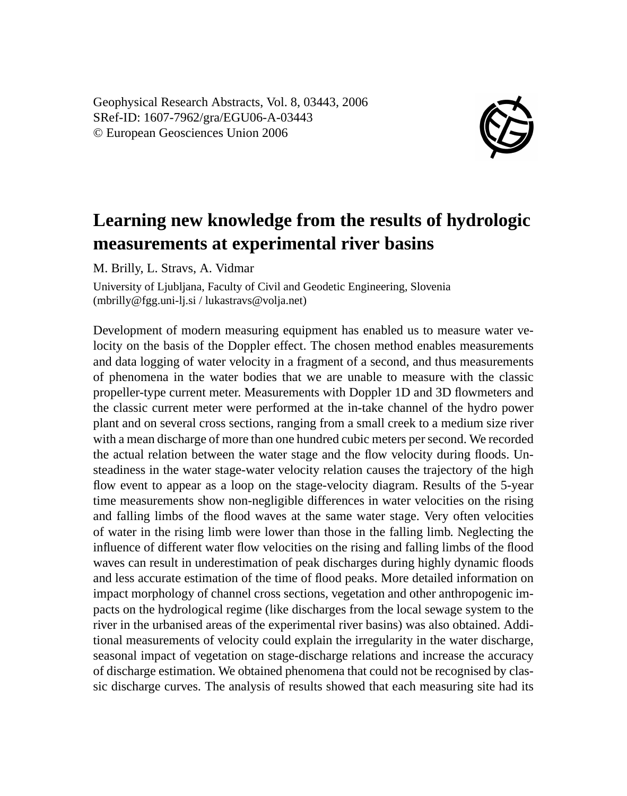Geophysical Research Abstracts, Vol. 8, 03443, 2006 SRef-ID: 1607-7962/gra/EGU06-A-03443 © European Geosciences Union 2006



## **Learning new knowledge from the results of hydrologic measurements at experimental river basins**

M. Brilly, L. Stravs, A. Vidmar

University of Ljubljana, Faculty of Civil and Geodetic Engineering, Slovenia (mbrilly@fgg.uni-lj.si / lukastravs@volja.net)

Development of modern measuring equipment has enabled us to measure water velocity on the basis of the Doppler effect. The chosen method enables measurements and data logging of water velocity in a fragment of a second, and thus measurements of phenomena in the water bodies that we are unable to measure with the classic propeller-type current meter. Measurements with Doppler 1D and 3D flowmeters and the classic current meter were performed at the in-take channel of the hydro power plant and on several cross sections, ranging from a small creek to a medium size river with a mean discharge of more than one hundred cubic meters per second. We recorded the actual relation between the water stage and the flow velocity during floods. Unsteadiness in the water stage-water velocity relation causes the trajectory of the high flow event to appear as a loop on the stage-velocity diagram. Results of the 5-year time measurements show non-negligible differences in water velocities on the rising and falling limbs of the flood waves at the same water stage. Very often velocities of water in the rising limb were lower than those in the falling limb. Neglecting the influence of different water flow velocities on the rising and falling limbs of the flood waves can result in underestimation of peak discharges during highly dynamic floods and less accurate estimation of the time of flood peaks. More detailed information on impact morphology of channel cross sections, vegetation and other anthropogenic impacts on the hydrological regime (like discharges from the local sewage system to the river in the urbanised areas of the experimental river basins) was also obtained. Additional measurements of velocity could explain the irregularity in the water discharge, seasonal impact of vegetation on stage-discharge relations and increase the accuracy of discharge estimation. We obtained phenomena that could not be recognised by classic discharge curves. The analysis of results showed that each measuring site had its